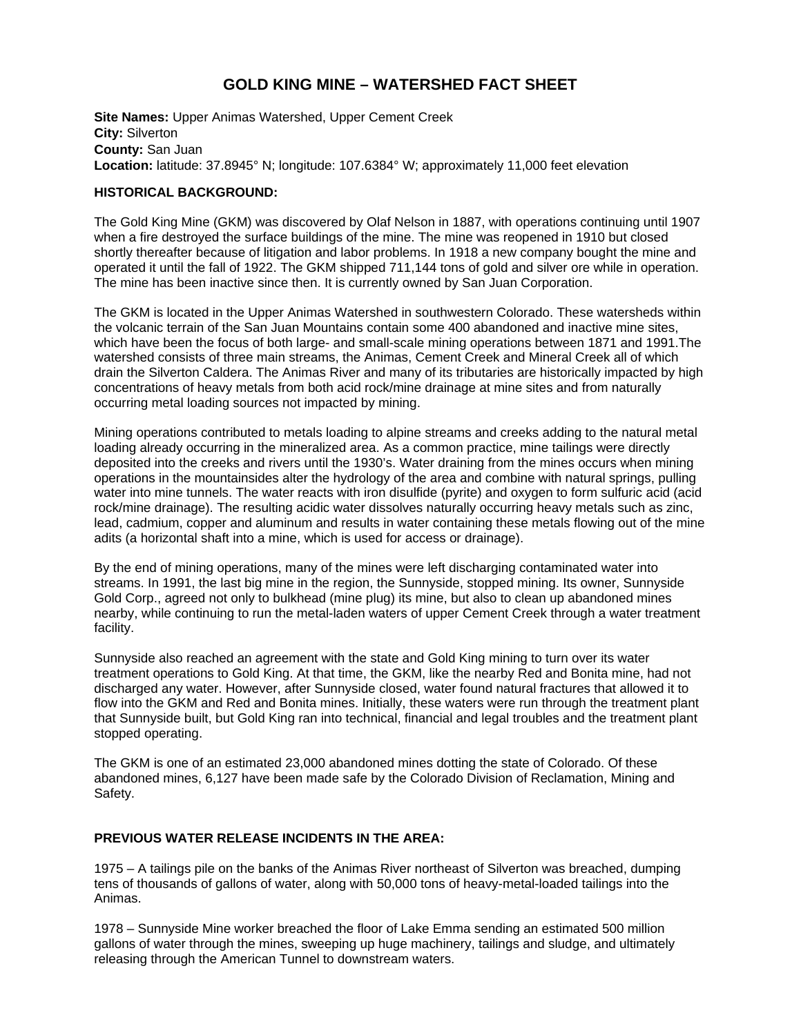# **GOLD KING MINE – WATERSHED FACT SHEET**

**Site Names:** Upper Animas Watershed, Upper Cement Creek **City:** Silverton **County:** San Juan **Location:** latitude: 37.8945° N; longitude: 107.6384° W; approximately 11,000 feet elevation

## **HISTORICAL BACKGROUND:**

The Gold King Mine (GKM) was discovered by Olaf Nelson in 1887, with operations continuing until 1907 when a fire destroyed the surface buildings of the mine. The mine was reopened in 1910 but closed shortly thereafter because of litigation and labor problems. In 1918 a new company bought the mine and operated it until the fall of 1922. The GKM shipped 711,144 tons of gold and silver ore while in operation. The mine has been inactive since then. It is currently owned by San Juan Corporation.

The GKM is located in the Upper Animas Watershed in southwestern Colorado. These watersheds within the volcanic terrain of the San Juan Mountains contain some 400 abandoned and inactive mine sites, which have been the focus of both large- and small-scale mining operations between 1871 and 1991.The watershed consists of three main streams, the Animas, Cement Creek and Mineral Creek all of which drain the Silverton Caldera. The Animas River and many of its tributaries are historically impacted by high concentrations of heavy metals from both acid rock/mine drainage at mine sites and from naturally occurring metal loading sources not impacted by mining.

Mining operations contributed to metals loading to alpine streams and creeks adding to the natural metal loading already occurring in the mineralized area. As a common practice, mine tailings were directly deposited into the creeks and rivers until the 1930's. Water draining from the mines occurs when mining operations in the mountainsides alter the hydrology of the area and combine with natural springs, pulling water into mine tunnels. The water reacts with iron disulfide (pyrite) and oxygen to form sulfuric acid (acid rock/mine drainage). The resulting acidic water dissolves naturally occurring heavy metals such as zinc, lead, cadmium, copper and aluminum and results in water containing these metals flowing out of the mine adits (a horizontal shaft into a mine, which is used for access or drainage).

By the end of mining operations, many of the mines were left discharging contaminated water into streams. In 1991, the last big mine in the region, the Sunnyside, stopped mining. Its owner, Sunnyside Gold Corp., agreed not only to bulkhead (mine plug) its mine, but also to clean up abandoned mines nearby, while continuing to run the metal-laden waters of upper Cement Creek through a water treatment facility.

Sunnyside also reached an agreement with the state and Gold King mining to turn over its water treatment operations to Gold King. At that time, the GKM, like the nearby Red and Bonita mine, had not discharged any water. However, after Sunnyside closed, water found natural fractures that allowed it to flow into the GKM and Red and Bonita mines. Initially, these waters were run through the treatment plant that Sunnyside built, but Gold King ran into technical, financial and legal troubles and the treatment plant stopped operating.

The GKM is one of an estimated 23,000 abandoned mines dotting the state of Colorado. Of these abandoned mines, 6,127 have been made safe by the Colorado Division of Reclamation, Mining and Safety.

#### **PREVIOUS WATER RELEASE INCIDENTS IN THE AREA:**

1975 – A tailings pile on the banks of the Animas River northeast of Silverton was breached, dumping tens of thousands of gallons of water, along with 50,000 tons of heavy-metal-loaded tailings into the Animas.

1978 – Sunnyside Mine worker breached the floor of Lake Emma sending an estimated 500 million gallons of water through the mines, sweeping up huge machinery, tailings and sludge, and ultimately releasing through the American Tunnel to downstream waters.